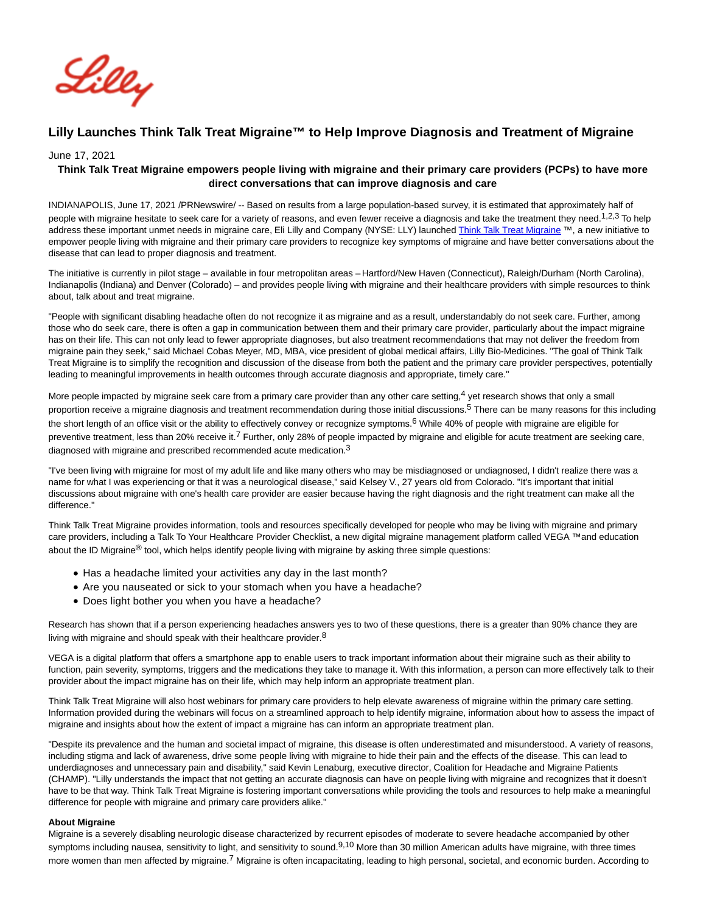

# **Lilly Launches Think Talk Treat Migraine™ to Help Improve Diagnosis and Treatment of Migraine**

#### June 17, 2021

# **Think Talk Treat Migraine empowers people living with migraine and their primary care providers (PCPs) to have more direct conversations that can improve diagnosis and care**

INDIANAPOLIS, June 17, 2021 /PRNewswire/ -- Based on results from a large population-based survey, it is estimated that approximately half of people with migraine hesitate to seek care for a variety of reasons, and even fewer receive a diagnosis and take the treatment they need.<sup>1,2,3</sup> To help address these important unmet needs in migraine care, Eli Lilly and Company (NYSE: LLY) launched [Think Talk Treat Migraine](https://c212.net/c/link/?t=0&l=en&o=3199156-1&h=1907260896&u=https%3A%2F%2Fwww.thinkmigraine.com%2F&a=Think+Talk+Treat+Migraine) ™, a new initiative to empower people living with migraine and their primary care providers to recognize key symptoms of migraine and have better conversations about the disease that can lead to proper diagnosis and treatment.

The initiative is currently in pilot stage – available in four metropolitan areas – Hartford/New Haven (Connecticut), Raleigh/Durham (North Carolina), Indianapolis (Indiana) and Denver (Colorado) – and provides people living with migraine and their healthcare providers with simple resources to think about, talk about and treat migraine.

"People with significant disabling headache often do not recognize it as migraine and as a result, understandably do not seek care. Further, among those who do seek care, there is often a gap in communication between them and their primary care provider, particularly about the impact migraine has on their life. This can not only lead to fewer appropriate diagnoses, but also treatment recommendations that may not deliver the freedom from migraine pain they seek," said Michael Cobas Meyer, MD, MBA, vice president of global medical affairs, Lilly Bio-Medicines. "The goal of Think Talk Treat Migraine is to simplify the recognition and discussion of the disease from both the patient and the primary care provider perspectives, potentially leading to meaningful improvements in health outcomes through accurate diagnosis and appropriate, timely care."

More people impacted by migraine seek care from a primary care provider than any other care setting,  $4$  yet research shows that only a small proportion receive a migraine diagnosis and treatment recommendation during those initial discussions.<sup>5</sup> There can be many reasons for this including the short length of an office visit or the ability to effectively convey or recognize symptoms.<sup>6</sup> While 40% of people with migraine are eligible for preventive treatment, less than 20% receive it.<sup>7</sup> Further, only 28% of people impacted by migraine and eligible for acute treatment are seeking care, diagnosed with migraine and prescribed recommended acute medication.<sup>3</sup>

"I've been living with migraine for most of my adult life and like many others who may be misdiagnosed or undiagnosed, I didn't realize there was a name for what I was experiencing or that it was a neurological disease," said Kelsey V., 27 years old from Colorado. "It's important that initial discussions about migraine with one's health care provider are easier because having the right diagnosis and the right treatment can make all the difference."

Think Talk Treat Migraine provides information, tools and resources specifically developed for people who may be living with migraine and primary care providers, including a Talk To Your Healthcare Provider Checklist, a new digital migraine management platform called VEGA ™ and education about the ID Migraine<sup>®</sup> tool, which helps identify people living with migraine by asking three simple questions:

- Has a headache limited your activities any day in the last month?
- Are you nauseated or sick to your stomach when you have a headache?
- Does light bother you when you have a headache?

Research has shown that if a person experiencing headaches answers yes to two of these questions, there is a greater than 90% chance they are living with migraine and should speak with their healthcare provider.<sup>8</sup>

VEGA is a digital platform that offers a smartphone app to enable users to track important information about their migraine such as their ability to function, pain severity, symptoms, triggers and the medications they take to manage it. With this information, a person can more effectively talk to their provider about the impact migraine has on their life, which may help inform an appropriate treatment plan.

Think Talk Treat Migraine will also host webinars for primary care providers to help elevate awareness of migraine within the primary care setting. Information provided during the webinars will focus on a streamlined approach to help identify migraine, information about how to assess the impact of migraine and insights about how the extent of impact a migraine has can inform an appropriate treatment plan.

"Despite its prevalence and the human and societal impact of migraine, this disease is often underestimated and misunderstood. A variety of reasons, including stigma and lack of awareness, drive some people living with migraine to hide their pain and the effects of the disease. This can lead to underdiagnoses and unnecessary pain and disability," said Kevin Lenaburg, executive director, Coalition for Headache and Migraine Patients (CHAMP). "Lilly understands the impact that not getting an accurate diagnosis can have on people living with migraine and recognizes that it doesn't have to be that way. Think Talk Treat Migraine is fostering important conversations while providing the tools and resources to help make a meaningful difference for people with migraine and primary care providers alike."

#### **About Migraine**

Migraine is a severely disabling neurologic disease characterized by recurrent episodes of moderate to severe headache accompanied by other symptoms including nausea, sensitivity to light, and sensitivity to sound.<sup>9,10</sup> More than 30 million American adults have migraine, with three times more women than men affected by migraine.<sup>7</sup> Migraine is often incapacitating, leading to high personal, societal, and economic burden. According to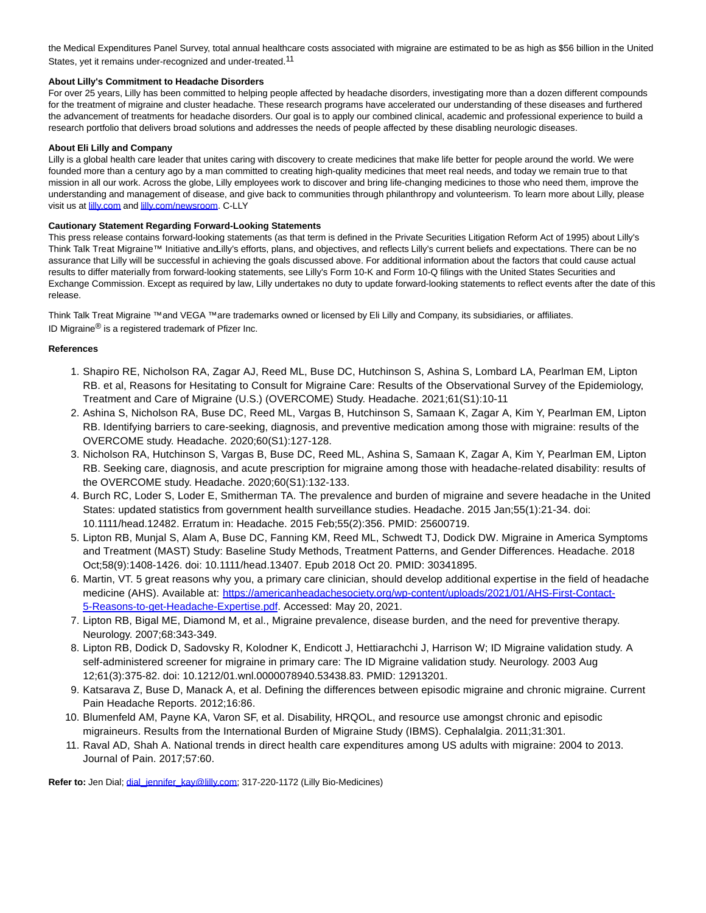the Medical Expenditures Panel Survey, total annual healthcare costs associated with migraine are estimated to be as high as \$56 billion in the United States, yet it remains under-recognized and under-treated.<sup>11</sup>

## **About Lilly's Commitment to Headache Disorders**

For over 25 years, Lilly has been committed to helping people affected by headache disorders, investigating more than a dozen different compounds for the treatment of migraine and cluster headache. These research programs have accelerated our understanding of these diseases and furthered the advancement of treatments for headache disorders. Our goal is to apply our combined clinical, academic and professional experience to build a research portfolio that delivers broad solutions and addresses the needs of people affected by these disabling neurologic diseases.

## **About Eli Lilly and Company**

Lilly is a global health care leader that unites caring with discovery to create medicines that make life better for people around the world. We were founded more than a century ago by a man committed to creating high-quality medicines that meet real needs, and today we remain true to that mission in all our work. Across the globe, Lilly employees work to discover and bring life-changing medicines to those who need them, improve the understanding and management of disease, and give back to communities through philanthropy and volunteerism. To learn more about Lilly, please visit us at **lilly.com** and **lilly.com/newsroom**. C-LLY

## **Cautionary Statement Regarding Forward-Looking Statements**

This press release contains forward-looking statements (as that term is defined in the Private Securities Litigation Reform Act of 1995) about Lilly's Think Talk Treat Migraine™ Initiative and Lilly's efforts, plans, and objectives, and reflects Lilly's current beliefs and expectations. There can be no assurance that Lilly will be successful in achieving the goals discussed above. For additional information about the factors that could cause actual results to differ materially from forward-looking statements, see Lilly's Form 10-K and Form 10-Q filings with the United States Securities and Exchange Commission. Except as required by law, Lilly undertakes no duty to update forward-looking statements to reflect events after the date of this release.

Think Talk Treat Migraine ™ and VEGA ™ are trademarks owned or licensed by Eli Lilly and Company, its subsidiaries, or affiliates. ID Migraine® is a registered trademark of Pfizer Inc.

## **References**

- 1. Shapiro RE, Nicholson RA, Zagar AJ, Reed ML, Buse DC, Hutchinson S, Ashina S, Lombard LA, Pearlman EM, Lipton RB. et al, Reasons for Hesitating to Consult for Migraine Care: Results of the Observational Survey of the Epidemiology, Treatment and Care of Migraine (U.S.) (OVERCOME) Study. Headache. 2021;61(S1):10-11
- 2. Ashina S, Nicholson RA, Buse DC, Reed ML, Vargas B, Hutchinson S, Samaan K, Zagar A, Kim Y, Pearlman EM, Lipton RB. Identifying barriers to care-seeking, diagnosis, and preventive medication among those with migraine: results of the OVERCOME study. Headache. 2020;60(S1):127-128.
- 3. Nicholson RA, Hutchinson S, Vargas B, Buse DC, Reed ML, Ashina S, Samaan K, Zagar A, Kim Y, Pearlman EM, Lipton RB. Seeking care, diagnosis, and acute prescription for migraine among those with headache-related disability: results of the OVERCOME study. Headache. 2020;60(S1):132-133.
- 4. Burch RC, Loder S, Loder E, Smitherman TA. The prevalence and burden of migraine and severe headache in the United States: updated statistics from government health surveillance studies. Headache. 2015 Jan;55(1):21-34. doi: 10.1111/head.12482. Erratum in: Headache. 2015 Feb;55(2):356. PMID: 25600719.
- 5. Lipton RB, Munjal S, Alam A, Buse DC, Fanning KM, Reed ML, Schwedt TJ, Dodick DW. Migraine in America Symptoms and Treatment (MAST) Study: Baseline Study Methods, Treatment Patterns, and Gender Differences. Headache. 2018 Oct;58(9):1408-1426. doi: 10.1111/head.13407. Epub 2018 Oct 20. PMID: 30341895.
- 6. Martin, VT. 5 great reasons why you, a primary care clinician, should develop additional expertise in the field of headache medicine (AHS). Available at: [https://americanheadachesociety.org/wp-content/uploads/2021/01/AHS-First-Contact-](https://americanheadachesociety.org/wp-content/uploads/2021/01/AHS-First-Contact-5-Reasons-to-get-Headache-Expertise.pdf)5-Reasons-to-get-Headache-Expertise.pdf. Accessed: May 20, 2021.
- Lipton RB, Bigal ME, Diamond M, et al., Migraine prevalence, disease burden, and the need for preventive therapy. 7. Neurology. 2007;68:343-349.
- 8. Lipton RB, Dodick D, Sadovsky R, Kolodner K, Endicott J, Hettiarachchi J, Harrison W; ID Migraine validation study. A self-administered screener for migraine in primary care: The ID Migraine validation study. Neurology. 2003 Aug 12;61(3):375-82. doi: 10.1212/01.wnl.0000078940.53438.83. PMID: 12913201.
- 9. Katsarava Z, Buse D, Manack A, et al. Defining the differences between episodic migraine and chronic migraine. Current Pain Headache Reports. 2012;16:86.
- 10. Blumenfeld AM, Payne KA, Varon SF, et al. Disability, HRQOL, and resource use amongst chronic and episodic migraineurs. Results from the International Burden of Migraine Study (IBMS). Cephalalgia. 2011;31:301.
- 11. Raval AD, Shah A. National trends in direct health care expenditures among US adults with migraine: 2004 to 2013. Journal of Pain. 2017;57:60.

**Refer to:** Jen Dial; [dial\\_jennifer\\_kay@lilly.com;](mailto:dial_jennifer_kay@lilly.com) 317-220-1172 (Lilly Bio-Medicines)